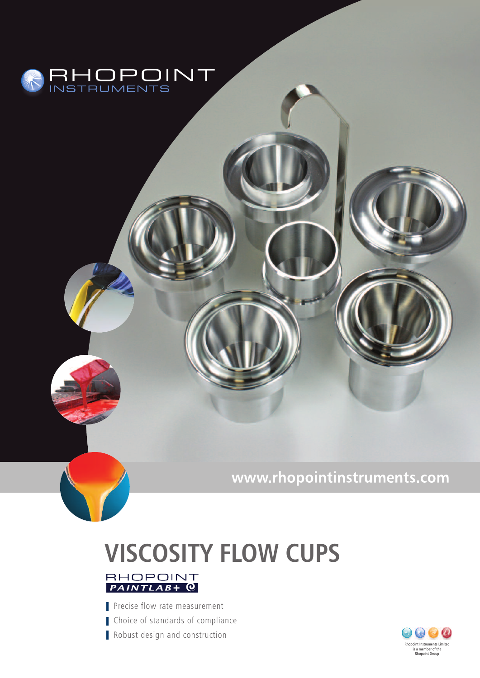

www.rhopointinstruments.com

# **VISCOSITY FLOW CUPS**



Precise flow rate measurement Choice of standards of compliance Robust design and construction

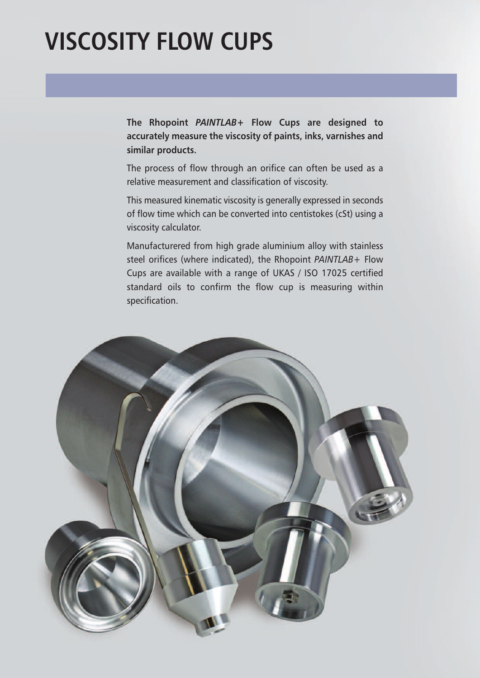## **VISCOSITY FLOW CUPS**

**The Rhopoint** *PAINTLAB***+ Flow Cups are designed to accurately measure the viscosity of paints, inks, varnishes and similar products.**

The process of flow through an orifice can often be used as a relative measurement and classification of viscosity.

This measured kinematic viscosity is generally expressed in seconds of flow time which can be converted into centistokes (cSt) using a viscosity calculator.

Manufacturered from high grade aluminium alloy with stainless steel orifices (where indicated), the Rhopoint *PAINTLAB*+ Flow Cups are available with a range of UKAS / ISO 17025 certified standard oils to confirm the flow cup is measuring within specification.

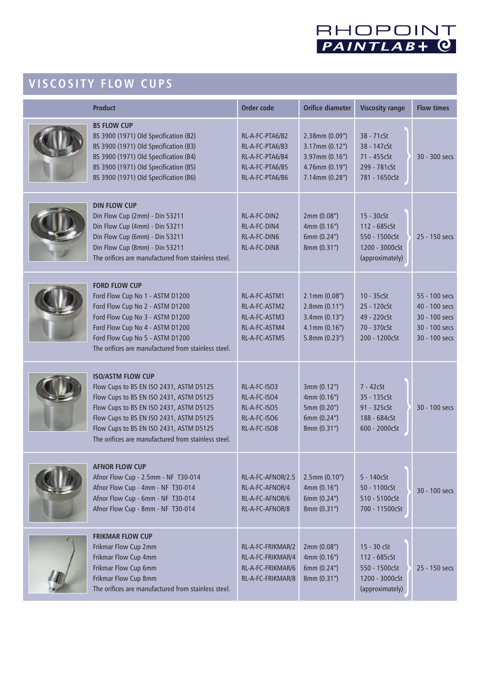

### **V I S COS I T Y F LO W CUP S**

| <b>Product</b>                                                                                                                                                                                                                                                                                         | <b>Order code</b>                                                                           | <b>Orifice diameter</b>                                                                                    | <b>Viscosity range</b>                                                                 | <b>Flow times</b>                                                                 |
|--------------------------------------------------------------------------------------------------------------------------------------------------------------------------------------------------------------------------------------------------------------------------------------------------------|---------------------------------------------------------------------------------------------|------------------------------------------------------------------------------------------------------------|----------------------------------------------------------------------------------------|-----------------------------------------------------------------------------------|
| <b>BS FLOW CUP</b><br>BS 3900 (1971) Old Specification (B2)<br>BS 3900 (1971) Old Specification (B3)<br>BS 3900 (1971) Old Specification (B4)<br>BS 3900 (1971) Old Specification (B5)<br>BS 3900 (1971) Old Specification (B6)                                                                        | RL-A-FC-PTA6/B2<br>RL-A-FC-PTA6/B3<br>RL-A-FC-PTA6/B4<br>RL-A-FC-PTA6/B5<br>RL-A-FC-PTA6/B6 | 2.38mm (0.09")<br>$3.17$ mm $(0.12")$<br>$3.97$ mm $(0.16")$<br>4.76mm (0.19")<br>7.14mm (0.28")           | 38 - 71cSt<br>38 - 147 <sub>c</sub> St<br>71 - 455cSt<br>299 - 781cSt<br>781 - 1650cSt | 30 - 300 secs                                                                     |
| <b>DIN FLOW CUP</b><br>Din Flow Cup (2mm) - Din 53211<br>Din Flow Cup (4mm) - Din 53211<br>Din Flow Cup (6mm) - Din 53211<br>Din Flow Cup (8mm) - Din 53211<br>The orifices are manufactured from stainless steel.                                                                                     | RL-A-FC-DIN2<br>RL-A-FC-DIN4<br>RL-A-FC-DIN6<br>RL-A-FC-DIN8                                | 2mm (0.08")<br>4mm (0.16")<br>6mm (0.24")<br>8mm (0.31")                                                   | $15 - 30c$ St<br>112 - 685cSt<br>550 - 1500cSt<br>1200 - 3000cSt<br>(approximately)    | 25 - 150 secs                                                                     |
| <b>FORD FLOW CUP</b><br>Ford Flow Cup No 1 - ASTM D1200<br>Ford Flow Cup No 2 - ASTM D1200<br>Ford Flow Cup No 3 - ASTM D1200<br>Ford Flow Cup No 4 - ASTM D1200<br>Ford Flow Cup No 5 - ASTM D1200<br>The orifices are manufactured from stainless steel.                                             | RL-A-FC-ASTM1<br>RL-A-FC-ASTM2<br>RL-A-FC-ASTM3<br>RL-A-FC-ASTM4<br>RL-A-FC-ASTM5           | $2.1$ mm $(0.08")$<br>$2.8$ mm $(0.11")$<br>$3.4$ mm $(0.13")$<br>$4.1$ mm $(0.16")$<br>$5.8$ mm $(0.23")$ | $10 - 35c$ St<br>25 - 120cSt<br>49 - 220cSt<br>70 - 370cSt<br>200 - 1200cSt            | 55 - 100 secs<br>40 - 100 secs<br>30 - 100 secs<br>30 - 100 secs<br>30 - 100 secs |
| <b>ISO/ASTM FLOW CUP</b><br>Flow Cups to BS EN ISO 2431, ASTM D5125<br>Flow Cups to BS EN ISO 2431, ASTM D5125<br>Flow Cups to BS EN ISO 2431, ASTM D5125<br>Flow Cups to BS EN ISO 2431, ASTM D5125<br>Flow Cups to BS EN ISO 2431, ASTM D5125<br>The orifices are manufactured from stainless steel. | RL-A-FC-ISO3<br>RL-A-FC-ISO4<br>RL-A-FC-ISO5<br>RL-A-FC-ISO6<br>RL-A-FC-ISO8                | 3mm (0.12")<br>4mm (0.16")<br>5mm (0.20")<br>6mm (0.24")<br>8mm (0.31")                                    | $7 - 42c$ St<br>35 - 135 cSt<br>91 - 325 cSt<br>188 - 684cSt<br>600 - 2000cSt          | 30 - 100 secs                                                                     |
| <b>AFNOR FLOW CUP</b><br>Afnor Flow Cup - 2.5mm - NF T30-014<br>Afnor Flow Cup - 4mm - NF T30-014<br>Afnor Flow Cup - 6mm - NF T30-014<br>Afnor Flow Cup - 8mm - NF T30-014                                                                                                                            | RL-A-FC-AFNOR/2.5<br>RL-A-FC-AFNOR/4<br>RL-A-FC-AFNOR/6<br>RL-A-FC-AFNOR/8                  | $2.5$ mm $(0.10")$<br>4mm (0.16")<br>6mm (0.24")<br>8mm (0.31")                                            | $5 - 140c$<br>50 - 1100cSt<br>510 - 5100cSt<br>700 - 11500cSt                          | 30 - 100 secs                                                                     |
| <b>FRIKMAR FLOW CUP</b><br>Frikmar Flow Cup 2mm<br>Frikmar Flow Cup 4mm<br>Frikmar Flow Cup 6mm<br>Frikmar Flow Cup 8mm<br>The orifices are manufactured from stainless steel.                                                                                                                         | RL-A-FC-FRIKMAR/2<br>RL-A-FC-FRIKMAR/4<br>RL-A-FC-FRIKMAR/6<br>RL-A-FC-FRIKMAR/8            | 2mm (0.08")<br>4mm (0.16")<br>6mm (0.24")<br>8mm (0.31")                                                   | 15 - 30 cSt<br>112 - 685cSt<br>550 - 1500cSt<br>1200 - 3000cSt<br>(approximately)      | 25 - 150 secs                                                                     |